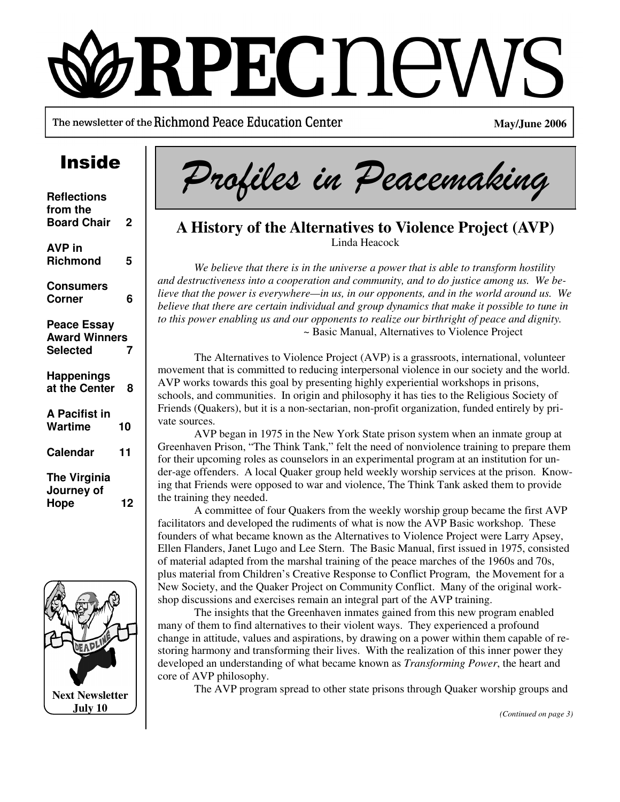# RPECDE

The newsletter of the Richmond Peace Education Center

**May/June 2006** 

| <b>Reflections</b><br>from the<br><b>Board Chair</b>          | $\mathbf 2$ |
|---------------------------------------------------------------|-------------|
| <b>AVP</b> in<br>Richmond                                     | 5           |
| <b>Consumers</b><br>Corner                                    | 6           |
| <b>Peace Essay</b><br><b>Award Winners</b><br><b>Selected</b> | 7           |
| <b>Happenings</b><br>at the Center                            | 8           |
| A Pacifist in<br>Wartime                                      | 10          |
| <b>Calendar</b>                                               | 11          |
| <b>The Virginia</b><br>Journey of<br>Hope                     | 12          |



Inside Profiles in Peacemaking

## **A History of the Alternatives to Violence Project (AVP)**  Linda Heacock

 *We believe that there is in the universe a power that is able to transform hostility and destructiveness into a cooperation and community, and to do justice among us. We believe that the power is everywhere—in us, in our opponents, and in the world around us. We believe that there are certain individual and group dynamics that make it possible to tune in to this power enabling us and our opponents to realize our birthright of peace and dignity.*  ~ Basic Manual, Alternatives to Violence Project

 The Alternatives to Violence Project (AVP) is a grassroots, international, volunteer movement that is committed to reducing interpersonal violence in our society and the world. AVP works towards this goal by presenting highly experiential workshops in prisons, schools, and communities. In origin and philosophy it has ties to the Religious Society of Friends (Quakers), but it is a non-sectarian, non-profit organization, funded entirely by private sources.

 AVP began in 1975 in the New York State prison system when an inmate group at Greenhaven Prison, "The Think Tank," felt the need of nonviolence training to prepare them for their upcoming roles as counselors in an experimental program at an institution for under-age offenders. A local Quaker group held weekly worship services at the prison. Knowing that Friends were opposed to war and violence, The Think Tank asked them to provide the training they needed.

 A committee of four Quakers from the weekly worship group became the first AVP facilitators and developed the rudiments of what is now the AVP Basic workshop. These founders of what became known as the Alternatives to Violence Project were Larry Apsey, Ellen Flanders, Janet Lugo and Lee Stern. The Basic Manual, first issued in 1975, consisted of material adapted from the marshal training of the peace marches of the 1960s and 70s, plus material from Children's Creative Response to Conflict Program, the Movement for a New Society, and the Quaker Project on Community Conflict. Many of the original workshop discussions and exercises remain an integral part of the AVP training.

 The insights that the Greenhaven inmates gained from this new program enabled many of them to find alternatives to their violent ways. They experienced a profound change in attitude, values and aspirations, by drawing on a power within them capable of restoring harmony and transforming their lives. With the realization of this inner power they developed an understanding of what became known as *Transforming Power*, the heart and core of AVP philosophy.

The AVP program spread to other state prisons through Quaker worship groups and

*(Continued on page 3)*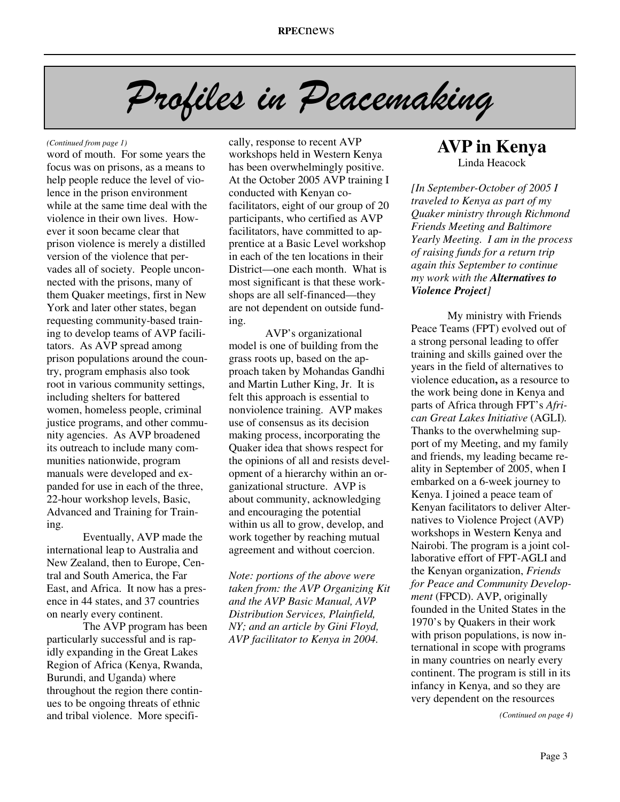# Profiles in Peacemaking

#### *(Continued from page 1)*

word of mouth. For some years the focus was on prisons, as a means to help people reduce the level of violence in the prison environment while at the same time deal with the violence in their own lives. However it soon became clear that prison violence is merely a distilled version of the violence that pervades all of society. People unconnected with the prisons, many of them Quaker meetings, first in New York and later other states, began requesting community-based training to develop teams of AVP facilitators. As AVP spread among prison populations around the country, program emphasis also took root in various community settings, including shelters for battered women, homeless people, criminal justice programs, and other community agencies. As AVP broadened its outreach to include many communities nationwide, program manuals were developed and expanded for use in each of the three, 22-hour workshop levels, Basic, Advanced and Training for Training.

 Eventually, AVP made the international leap to Australia and New Zealand, then to Europe, Central and South America, the Far East, and Africa. It now has a presence in 44 states, and 37 countries on nearly every continent.

 The AVP program has been particularly successful and is rapidly expanding in the Great Lakes Region of Africa (Kenya, Rwanda, Burundi, and Uganda) where throughout the region there continues to be ongoing threats of ethnic and tribal violence. More specifically, response to recent AVP workshops held in Western Kenya has been overwhelmingly positive. At the October 2005 AVP training I conducted with Kenyan cofacilitators, eight of our group of 20 participants, who certified as AVP facilitators, have committed to apprentice at a Basic Level workshop in each of the ten locations in their District—one each month. What is most significant is that these workshops are all self-financed—they are not dependent on outside funding.

 AVP's organizational model is one of building from the grass roots up, based on the approach taken by Mohandas Gandhi and Martin Luther King, Jr. It is felt this approach is essential to nonviolence training. AVP makes use of consensus as its decision making process, incorporating the Quaker idea that shows respect for the opinions of all and resists development of a hierarchy within an organizational structure. AVP is about community, acknowledging and encouraging the potential within us all to grow, develop, and work together by reaching mutual agreement and without coercion.

*Note: portions of the above were taken from: the AVP Organizing Kit and the AVP Basic Manual, AVP Distribution Services, Plainfield, NY; and an article by Gini Floyd, AVP facilitator to Kenya in 2004.* 

### **AVP in Kenya**  Linda Heacock

*[In September-October of 2005 I traveled to Kenya as part of my Quaker ministry through Richmond Friends Meeting and Baltimore Yearly Meeting. I am in the process of raising funds for a return trip again this September to continue my work with the Alternatives to Violence Project]* 

 My ministry with Friends Peace Teams (FPT) evolved out of a strong personal leading to offer training and skills gained over the years in the field of alternatives to violence education**,** as a resource to the work being done in Kenya and parts of Africa through FPT's *African Great Lakes Initiative* (AGLI)*.* Thanks to the overwhelming support of my Meeting, and my family and friends, my leading became reality in September of 2005, when I embarked on a 6-week journey to Kenya. I joined a peace team of Kenyan facilitators to deliver Alternatives to Violence Project (AVP) workshops in Western Kenya and Nairobi. The program is a joint collaborative effort of FPT-AGLI and the Kenyan organization, *Friends for Peace and Community Development* (FPCD). AVP, originally founded in the United States in the 1970's by Quakers in their work with prison populations, is now international in scope with programs in many countries on nearly every continent. The program is still in its infancy in Kenya, and so they are very dependent on the resources

*(Continued on page 4)*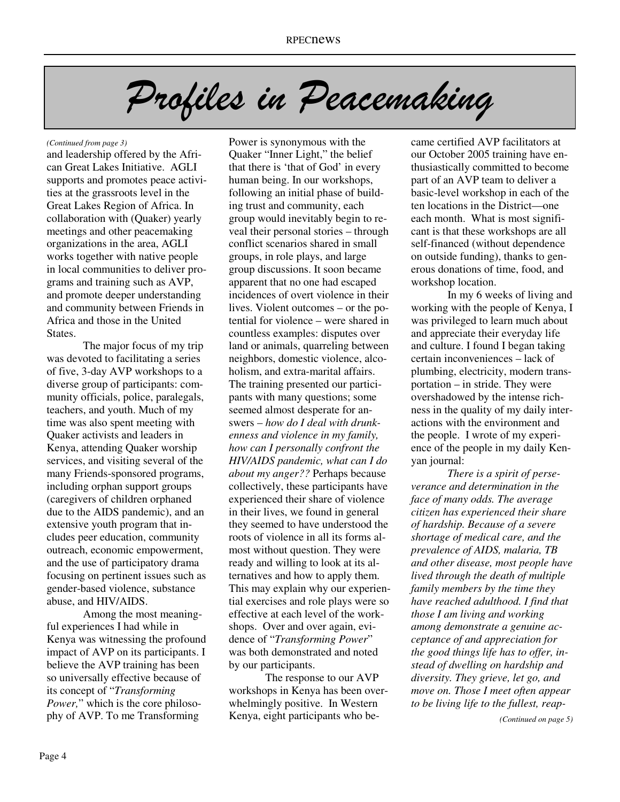# Profiles in Peacemaking

#### *(Continued from page 3)*

and leadership offered by the African Great Lakes Initiative. AGLI supports and promotes peace activities at the grassroots level in the Great Lakes Region of Africa. In collaboration with (Quaker) yearly meetings and other peacemaking organizations in the area, AGLI works together with native people in local communities to deliver programs and training such as AVP, and promote deeper understanding and community between Friends in Africa and those in the United States.

 The major focus of my trip was devoted to facilitating a series of five, 3-day AVP workshops to a diverse group of participants: community officials, police, paralegals, teachers, and youth. Much of my time was also spent meeting with Quaker activists and leaders in Kenya, attending Quaker worship services, and visiting several of the many Friends-sponsored programs, including orphan support groups (caregivers of children orphaned due to the AIDS pandemic), and an extensive youth program that includes peer education, community outreach, economic empowerment, and the use of participatory drama focusing on pertinent issues such as gender-based violence, substance abuse, and HIV/AIDS.

 Among the most meaningful experiences I had while in Kenya was witnessing the profound impact of AVP on its participants. I believe the AVP training has been so universally effective because of its concept of "*Transforming Power,*" which is the core philosophy of AVP. To me Transforming

Power is synonymous with the Quaker "Inner Light," the belief that there is 'that of God' in every human being. In our workshops, following an initial phase of building trust and community, each group would inevitably begin to reveal their personal stories – through conflict scenarios shared in small groups, in role plays, and large group discussions. It soon became apparent that no one had escaped incidences of overt violence in their lives. Violent outcomes – or the potential for violence – were shared in countless examples: disputes over land or animals, quarreling between neighbors, domestic violence, alcoholism, and extra-marital affairs. The training presented our participants with many questions; some seemed almost desperate for answers – *how do I deal with drunkenness and violence in my family, how can I personally confront the HIV/AIDS pandemic, what can I do about my anger??* Perhaps because collectively, these participants have experienced their share of violence in their lives, we found in general they seemed to have understood the roots of violence in all its forms almost without question. They were ready and willing to look at its alternatives and how to apply them. This may explain why our experiential exercises and role plays were so effective at each level of the workshops. Over and over again, evidence of "*Transforming Power*" was both demonstrated and noted by our participants.

 The response to our AVP workshops in Kenya has been overwhelmingly positive. In Western Kenya, eight participants who became certified AVP facilitators at our October 2005 training have enthusiastically committed to become part of an AVP team to deliver a basic-level workshop in each of the ten locations in the District—one each month. What is most significant is that these workshops are all self-financed (without dependence on outside funding), thanks to generous donations of time, food, and workshop location.

 In my 6 weeks of living and working with the people of Kenya, I was privileged to learn much about and appreciate their everyday life and culture. I found I began taking certain inconveniences – lack of plumbing, electricity, modern transportation – in stride. They were overshadowed by the intense richness in the quality of my daily interactions with the environment and the people. I wrote of my experience of the people in my daily Kenyan journal:

 *There is a spirit of perseverance and determination in the face of many odds. The average citizen has experienced their share of hardship. Because of a severe shortage of medical care, and the prevalence of AIDS, malaria, TB and other disease, most people have lived through the death of multiple family members by the time they have reached adulthood. I find that those I am living and working among demonstrate a genuine acceptance of and appreciation for the good things life has to offer, instead of dwelling on hardship and diversity. They grieve, let go, and move on. Those I meet often appear to be living life to the fullest, reap-*

*(Continued on page 5)*